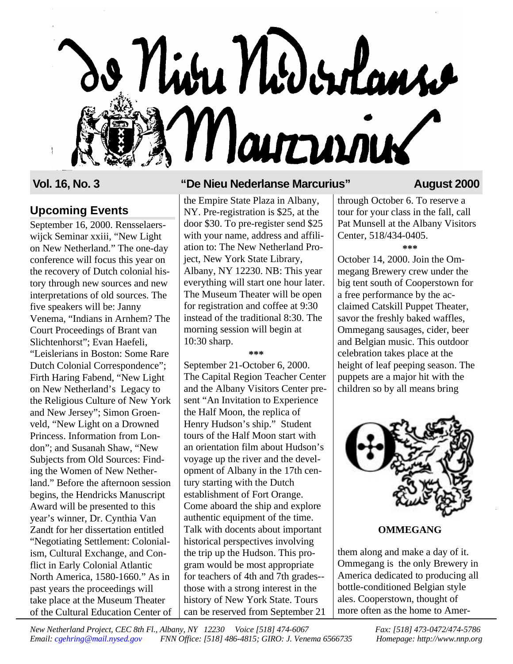# o Niva Nodorlans Marturiux

# **Upcoming Events**

September 16, 2000. Rensselaerswijck Seminar xxiii, "New Light on New Netherland." The one-day conference will focus this year on the recovery of Dutch colonial history through new sources and new interpretations of old sources. The five speakers will be: Janny Venema, "Indians in Arnhem? The Court Proceedings of Brant van Slichtenhorst"; Evan Haefeli, "Leislerians in Boston: Some Rare Dutch Colonial Correspondence"; Firth Haring Fabend, "New Light on New Netherland's Legacy to the Religious Culture of New York and New Jersey"; Simon Groenveld, "New Light on a Drowned Princess. Information from London"; and Susanah Shaw, "New Subjects from Old Sources: Finding the Women of New Netherland." Before the afternoon session begins, the Hendricks Manuscript Award will be presented to this year's winner, Dr. Cynthia Van Zandt for her dissertation entitled "Negotiating Settlement: Colonialism, Cultural Exchange, and Conflict in Early Colonial Atlantic North America, 1580-1660." As in past years the proceedings will take place at the Museum Theater of the Cultural Education Center of

# **Vol. 16, No. 3 "De Nieu Nederlanse Marcurius" August 2000**

the Empire State Plaza in Albany, NY. Pre-registration is \$25, at the door \$30. To pre-register send \$25 with your name, address and affiliation to: The New Netherland Project, New York State Library, Albany, NY 12230. NB: This year everything will start one hour later. The Museum Theater will be open for registration and coffee at 9:30 instead of the traditional 8:30. The morning session will begin at 10:30 sharp.

**\*\*\***

September 21-October 6, 2000. The Capital Region Teacher Center and the Albany Visitors Center present "An Invitation to Experience the Half Moon, the replica of Henry Hudson's ship." Student tours of the Half Moon start with an orientation film about Hudson's voyage up the river and the development of Albany in the 17th century starting with the Dutch establishment of Fort Orange. Come aboard the ship and explore authentic equipment of the time. Talk with docents about important historical perspectives involving the trip up the Hudson. This program would be most appropriate for teachers of 4th and 7th grades- those with a strong interest in the history of New York State. Tours can be reserved from September 21

through October 6. To reserve a tour for your class in the fall, call Pat Munsell at the Albany Visitors Center, 518/434-0405. **\*\*\***

October 14, 2000. Join the Ommegang Brewery crew under the big tent south of Cooperstown for a free performance by the acclaimed Catskill Puppet Theater, savor the freshly baked waffles, Ommegang sausages, cider, beer and Belgian music. This outdoor celebration takes place at the height of leaf peeping season. The puppets are a major hit with the children so by all means bring



# **OMMEGANG**

them along and make a day of it. Ommegang is the only Brewery in America dedicated to producing all bottle-conditioned Belgian style ales. Cooperstown, thought of more often as the home to Amer-

*New Netherland Project, CEC 8th Fl., Albany, NY 12230 Voice [518] 474-6067 Fax: [518] 473-0472/474-5786 Email: cgehring@mail.nysed.gov FNN Office: [518] 486-4815; GIRO: J. Venema 6566735 Homepage: http://www.nnp.org*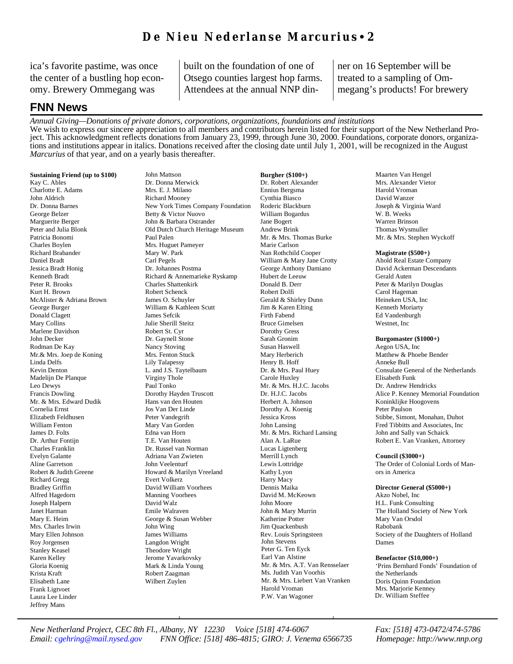ica's favorite pastime, was once the center of a bustling hop economy. Brewery Ommegang was

built on the foundation of one of Otsego counties largest hop farms. Attendees at the annual NNP dinner on 16 September will be treated to a sampling of Ommegang's products! For brewery

# **FNN News**

*Annual Giving—Donations of private donors, corporations, organizations, foundations and institutions*  We wish to express our sincere appreciation to all members and contributors herein listed for their support of the New Netherland Project. This acknowledgment reflects donations from January 23, 1999, through June 30, 2000. Foundations, corporate donors, organizations and institutions appear in italics. Donations received after the closing date until July 1, 2001, will be recognized in the August *Marcurius* of that year, and on a yearly basis thereafter.

**Sustaining Friend (up to \$100)** Kay C. Ables Charlotte E. Adams John Aldrich Dr. Donna Barnes George Belzer Marguerite Berger Peter and Julia Blonk Patricia Bonomi Charles Boylen Richard Brabander Daniel Bradt Jessica Bradt Honig Kenneth Bradt Peter R. Brooks Kurt H. Brown McAlister & Adriana Brown George Burger Donald Clagett Mary Collins Marlene Davidson John Decker Rodman De Kay Mr.& Mrs. Joep de Koning Linda Delfs Kevin Denton Madelijn De Planque Leo Dewys Francis Dowling Mr. & Mrs. Edward Dudik Cornelia Ernst Elizabeth Feldhusen William Fenton James D. Folts Dr. Arthur Fontijn Charles Franklin Evelyn Galante Aline Garretson Robert & Judith Greene Richard Gregg Bradley Griffin Alfred Hagedorn Joseph Halpern Janet Harman Mary E. Heim Mrs. Charles Irwin Mary Ellen Johnson Roy Jorgensen Stanley Keasel Karen Kelley Gloria Koenig Krista Kraft Elisabeth Lane Frank Ligtvoet Laura Lee Linder Jeffrey Mans

John Mattson Dr. Donna Merwick Mrs. E. J. Milano Richard Mooney New York Times Company Foundation Betty & Victor Nuovo John & Barbara Ostrander Old Dutch Church Heritage Museum Paul Palen Mrs. Huguet Pameyer Mary W. Park Carl Pegels Dr. Johannes Postma Richard & Annemarieke Ryskamp Charles Shattenkirk Robert Schenck James O. Schuyler William & Kathleen Scutt James Sefcik Julie Sherill Steitz Robert St. Cyr Dr. Gaynell Stone Nancy Stoving Mrs. Fenton Stuck Lily Talapessy L. and J.S. Taytelbaum Virginy Thole Paul Tonko Dorothy Hayden Truscott Hans van den Houten Jos Van Der Linde Peter Vandegrift Mary Van Gorden Edna van Horn T.E. Van Houten Dr. Russel van Norman Adriana Van Zwieten John Veelenturf Howard & Marilyn Vreeland Evert Volkerz David William Voorhees Manning Voorhees David Walz Emile Walraven George & Susan Webber John Wing James Williams Langdon Wright Theodore Wright Jerome Yavarkovsky Mark & Linda Young Robert Zaagman Wilbert Zuylen

**Burgher (\$100+)** Dr. Robert Alexander Ennius Bergsma Cynthia Biasco Roderic Blackburn William Bogardus Jane Bogert Andrew Brink Mr. & Mrs. Thomas Burke Marie Carlson Nan Rothchild Cooper William & Mary Jane Crotty George Anthony Damiano Hubert de Leeuw Donald B. Derr Robert Dolfi Gerald & Shirley Dunn Jim & Karen Elting Firth Fabend Bruce Gimelsen Dorothy Gress Sarah Gronim Susan Haswell Mary Herberich Henry B. Hoff Dr. & Mrs. Paul Huey Carole Huxley Mr. & Mrs. H.J.C. Jacobs Dr. H.J.C. Jacobs Herbert A. Johnson Dorothy A. Koenig Jessica Kross John Lansing Mr. & Mrs. Richard Lansing Alan A. LaRue Lucas Ligtenberg Merrill Lynch Lewis Lottridge Kathy Lyon Harry Macy Dennis Maika David M. McKeown John Moore John & Mary Murrin Katherine Potter Jim Quackenbush Rev. Louis Springsteen John Stevens Peter G. Ten Eyck Earl Van Alstine Mr. & Mrs. A.T. Van Rensselaer Ms. Judith Van Voorhis Mr. & Mrs. Liebert Van Vranken Harold Vroman P.W. Van Wagoner

Maarten Van Hengel Mrs. Alexander Vietor Harold Vroman David Wanzer Joseph & Virginia Ward W. B. Weeks Warren Brinson Thomas Wysmuller Mr. & Mrs. Stephen Wyckoff

### **Magistrate (\$500+)**

Ahold Real Estate Company David Ackerman Descendants Gerald Auten Peter & Marilyn Douglas Carol Hageman Heineken USA, Inc Kenneth Moriarty Ed Vandenburgh Westnet, Inc

### **Burgomaster (\$1000+)**

Aegon USA, Inc Matthew & Phoebe Bender Anneke Bull Consulate General of the Netherlands Elisabeth Funk Dr. Andrew Hendricks Alice P. Kenney Memorial Foundation Koninklijke Hoogovens Peter Paulson Stibbe, Simont, Monahan, Duhot Fred Tibbitts and Associates, Inc John and Sally van Schaick Robert E. Van Vranken, Attorney

### **Council (\$3000+)**

The Order of Colonial Lords of Manors in America

### **Director General (\$5000+)**

Akzo Nobel, Inc H.L. Funk Consulting The Holland Society of New York Mary Van Orsdol Rabobank Society of the Daughters of Holland Dames

### **Benefactor (\$10,000+)**

'Prins Bernhard Fonds' Foundation of the Netherlands Doris Quinn Foundation Mrs. Marjorie Kenney Dr. William Steffee

*New Netherland Project, CEC 8th Fl., Albany, NY 12230 Voice [518] 474-6067 Fax: [518] 473-0472/474-5786 Email: cgehring@mail.nysed.gov FNN Office: [518] 486-4815; GIRO: J. Venema 6566735 Homepage: http://www.nnp.org*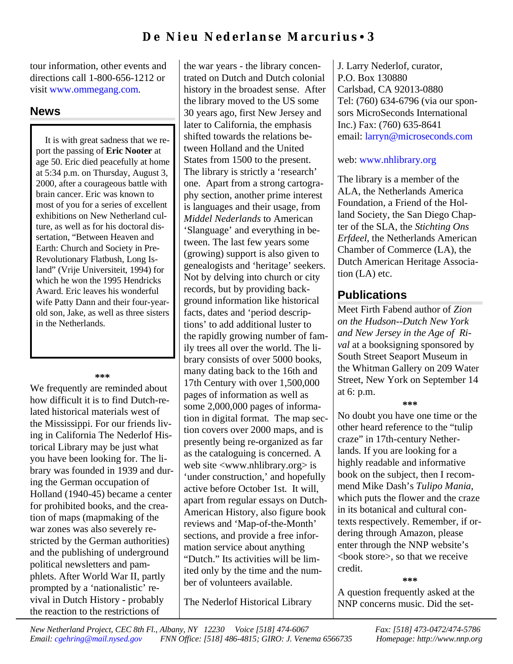tour information, other events and directions call 1-800-656-1212 or visit www.ommegang.com.

# **News**

It is with great sadness that we report the passing of **Eric Nooter** at age 50. Eric died peacefully at home at 5:34 p.m. on Thursday, August 3, 2000, after a courageous battle with brain cancer. Eric was known to most of you for a series of excellent exhibitions on New Netherland culture, as well as for his doctoral dissertation, "Between Heaven and Earth: Church and Society in Pre-Revolutionary Flatbush, Long Island" (Vrije Universiteit, 1994) for which he won the 1995 Hendricks Award. Eric leaves his wonderful wife Patty Dann and their four-yearold son, Jake, as well as three sisters in the Netherlands.

### **\*\*\***

We frequently are reminded about how difficult it is to find Dutch-related historical materials west of the Mississippi. For our friends living in California The Nederlof Historical Library may be just what you have been looking for. The library was founded in 1939 and during the German occupation of Holland (1940-45) became a center for prohibited books, and the creation of maps (mapmaking of the war zones was also severely restricted by the German authorities) and the publishing of underground political newsletters and pamphlets. After World War II, partly prompted by a 'nationalistic' revival in Dutch History - probably the reaction to the restrictions of

the war years - the library concentrated on Dutch and Dutch colonial history in the broadest sense. After the library moved to the US some 30 years ago, first New Jersey and later to California, the emphasis shifted towards the relations between Holland and the United States from 1500 to the present. The library is strictly a 'research' one. Apart from a strong cartography section, another prime interest is languages and their usage, from *Middel Nederlands* to American 'Slanguage' and everything in between. The last few years some (growing) support is also given to genealogists and 'heritage' seekers. Not by delving into church or city records, but by providing background information like historical facts, dates and 'period descriptions' to add additional luster to the rapidly growing number of family trees all over the world. The library consists of over 5000 books, many dating back to the 16th and 17th Century with over 1,500,000 pages of information as well as some 2,000,000 pages of information in digital format. The map section covers over 2000 maps, and is presently being re-organized as far as the cataloguing is concerned. A web site <www.nhlibrary.org> is 'under construction,' and hopefully active before October 1st. It will, apart from regular essays on Dutch-American History, also figure book reviews and 'Map-of-the-Month' sections, and provide a free information service about anything "Dutch." Its activities will be limited only by the time and the number of volunteers available.

The Nederlof Historical Library

J. Larry Nederlof, curator, P.O. Box 130880 Carlsbad, CA 92013-0880 Tel: (760) 634-6796 (via our sponsors MicroSeconds International Inc.) Fax: (760) 635-8641 email: larryn@microseconds.com

# web: www.nhlibrary.org

The library is a member of the ALA, the Netherlands America Foundation, a Friend of the Holland Society, the San Diego Chapter of the SLA, the *Stichting Ons Erfdeel*, the Netherlands American Chamber of Commerce (LA), the Dutch American Heritage Association (LA) etc.

# **Publications**

Meet Firth Fabend author of *Zion on the Hudson--Dutch New York and New Jersey in the Age of Rival* at a booksigning sponsored by South Street Seaport Museum in the Whitman Gallery on 209 Water Street, New York on September 14 at 6: p.m.

## **\*\*\***

No doubt you have one time or the other heard reference to the "tulip craze" in 17th-century Netherlands. If you are looking for a highly readable and informative book on the subject, then I recommend Mike Dash's *Tulipo Mania*, which puts the flower and the craze in its botanical and cultural contexts respectively. Remember, if ordering through Amazon, please enter through the NNP website's <book store>, so that we receive credit.

**\*\*\***

A question frequently asked at the NNP concerns music. Did the set-